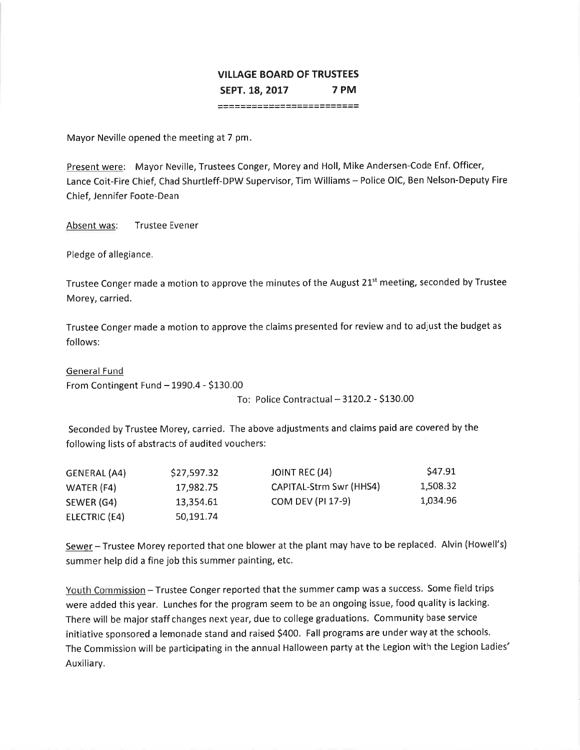## **VILLAGE BOARD OF TRUSTEES** 7 PM SEPT. 18. 2017 \*\*\*\*\*\*\*\*\*\*\*\*\*\*\*\*\*\*\*\*\*\*\*\*\*

Mayor Neville opened the meeting at 7 pm.

Present were: Mayor Neville, Trustees Conger, Morey and Holl, Mike Andersen-Code Enf. Officer, Lance Coit-Fire Chief, Chad Shurtleff-DPW Supervisor, Tim Williams - Police OIC, Ben Nelson-Deputy Fire Chief, Jennifer Foote-Dean

Absent was: **Trustee Evener** 

Pledge of allegiance.

Trustee Conger made a motion to approve the minutes of the August 21<sup>st</sup> meeting, seconded by Trustee Morey, carried.

Trustee Conger made a motion to approve the claims presented for review and to adjust the budget as follows:

**General Fund** From Contingent Fund - 1990.4 - \$130.00

To: Police Contractual - 3120.2 - \$130.00

Seconded by Trustee Morey, carried. The above adjustments and claims paid are covered by the following lists of abstracts of audited vouchers:

| GENERAL (A4)  | \$27,597.32 | JOINT REC (J4)          | S47.91   |
|---------------|-------------|-------------------------|----------|
| WATER (F4)    | 17,982.75   | CAPITAL-Strm Swr (HHS4) | 1,508.32 |
| SEWER (G4)    | 13,354.61   | COM DEV (PI 17-9)       | 1,034.96 |
| ELECTRIC (E4) | 50.191.74   |                         |          |

Sewer - Trustee Morey reported that one blower at the plant may have to be replaced. Alvin (Howell's) summer help did a fine job this summer painting, etc.

Youth Commission - Trustee Conger reported that the summer camp was a success. Some field trips were added this year. Lunches for the program seem to be an ongoing issue, food quality is lacking. There will be major staff changes next year, due to college graduations. Community base service initiative sponsored a lemonade stand and raised \$400. Fall programs are under way at the schools. The Commission will be participating in the annual Halloween party at the Legion with the Legion Ladies' Auxiliary.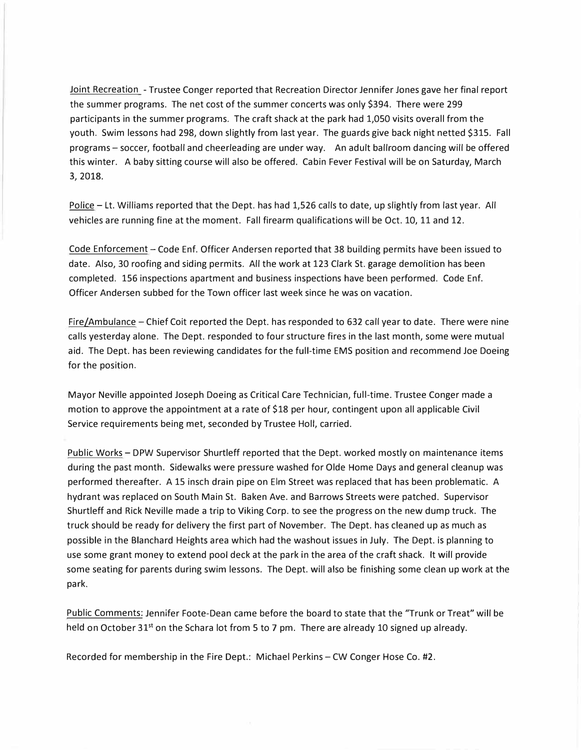Joint Recreation - Trustee Conger reported that Recreation Director Jennifer Jones gave her final report the summer programs. The net cost of the summer concerts was only \$394. There were 299 participants in the summer programs. The craft shack at the park had 1,050 visits overall from the youth. Swim lessons had 298, down slightly from last year. The guards give back night netted \$315. Fall programs - soccer, football and cheerleading are under way. An adult ballroom dancing will be offered this winter. A baby sitting course will also be offered. Cabin Fever Festival will be on Saturday, March **3, 2018.** 

Police - Lt. Williams reported that the Dept. has had 1,526 calls to date, up slightly from last year. All vehicles are running fine at the moment. Fall firearm qualifications will be Oct. 10, 11 and 12.

Code Enforcement - Code Enf. Officer Andersen reported that 38 building permits have been issued to date. Also, 30 roofing and siding permits. All the work at 123 Clark St. garage demolition has been completed. 156 inspections apartment and business inspections have been performed. Code Enf. Officer Andersen subbed for the Town officer last week since he was on vacation.

 $Fire/Ambulance - Chief Coit reported the Dept.$  has responded to 632 call year to date. There were nine calls yesterday alone. The Dept. responded to four structure fires in the last month, some were mutual aid. The Dept. has been reviewing candidates for the full-time EMS position and recommend Joe Doeing for the position.

Mayor Neville appointed Joseph Doeing as Critical Care Technician, full-time. Trustee Conger made a motion to approve the appointment at a rate of \$18 per hour, contingent upon all applicable Civil Service requirements being met, seconded by Trustee Holl, carried.

Public Works - DPW Supervisor Shurtleff reported that the Dept. worked mostly on maintenance items during the past month. Sidewalks were pressure washed for Olde Home Days and general cleanup was performed thereafter. A 15 insch drain pipe on Elm Street was replaced that has been problematic. A hydrant was replaced on South Main St. Baken Ave. and Barrows Streets were patched. Supervisor Shurtleff and Rick Neville made a trip to Viking Corp. to see the progress on the new dump truck. The truck should be ready for delivery the first part of November. The Dept. has cleaned up as much as possible in the Blanchard Heights area which had the washout issues in July. The Dept. is planning to use some grant money to extend pool deck at the park in the area of the craft shack. It will provide some seating for parents during swim lessons. The Dept. will also be finishing some clean up work at the park.

Public Comments: Jennifer Foote-Dean came before the board to state that the "Trunk or Treat" will be held on October 31<sup>st</sup> on the Schara lot from 5 to 7 pm. There are already 10 signed up already.

Recorded for membership in the Fire Dept.: Michael Perkins - CW Conger Hose Co. #2.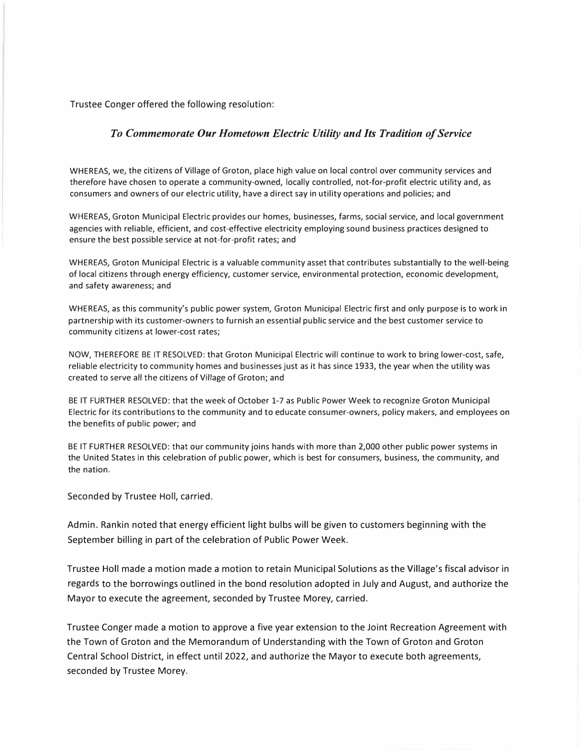Trustee Conger offered the following resolution:

## *To Commemorate Our Hometown Electric Utility and Its Tradition of Service*

WHEREAS, we, the citizens of Village of Groton, place high value on local control over community services and therefore have chosen to operate a community-owned, locally controlled, not-for-profit electric utility and, as consumers and owners of our electric utility, have a direct say in utility operations and policies; and

WHEREAS, Groton Municipal Electric provides our homes, businesses, farms, social service, and local government agencies with reliable, efficient, and cost-effective electricity employing sound business practices designed to ensure the best possible service at not-for-profit rates; and

WHEREAS, Groton Municipal Electric is a valuable community asset that contributes substantially to the well-being of local citizens through energy efficiency, customer service, environmental protection, economic development, and safety awareness; and

WHEREAS, as this community's public power system, Groton Municipal Electric first and only purpose is to work in partnership with its customer-owners to furnish an essential public service and the best customer service to community citizens at lower-cost rates;

NOW, THEREFORE BE IT RESOLVED: that Groton Municipal Electric will continue to work to bring lower-cost, safe, reliable electricity to community homes and businesses just as it has since 1933, the year when the utility was created to serve all the citizens of Village of Groton; and

BE IT FURTHER RESOLVED: that the week of October 1-7 as Public Power Week to recognize Groton Municipal Electric for its contributions to the community and to educate consumer-owners, policy makers, and employees on the benefits of public power; and

BE IT FURTHER RESOLVED: that our community joins hands with more than 2,000 other public power systems in the United States in this celebration of public power, which is best for consumers, business, the community, and the nation.

Seconded by Trustee Holl, carried.

Admin. Rankin noted that energy efficient light bulbs will be given to customers beginning with the September billing in part of the celebration of Public Power Week.

Trustee Holl made a motion made a motion to retain Municipal Solutions as the Village's fiscal advisor in regards to the borrowings outlined in the bond resolution adopted in July and August, and authorize the Mayor to execute the agreement, seconded by Trustee Morey, carried.

Trustee Conger made a motion to approve a five year extension to the Joint Recreation Agreement with the Town of Groton and the Memorandum of Understanding with the Town of Groton and Groton Central School District, in effect until 2022, and authorize the Mayor to execute both agreements, seconded by Trustee Morey.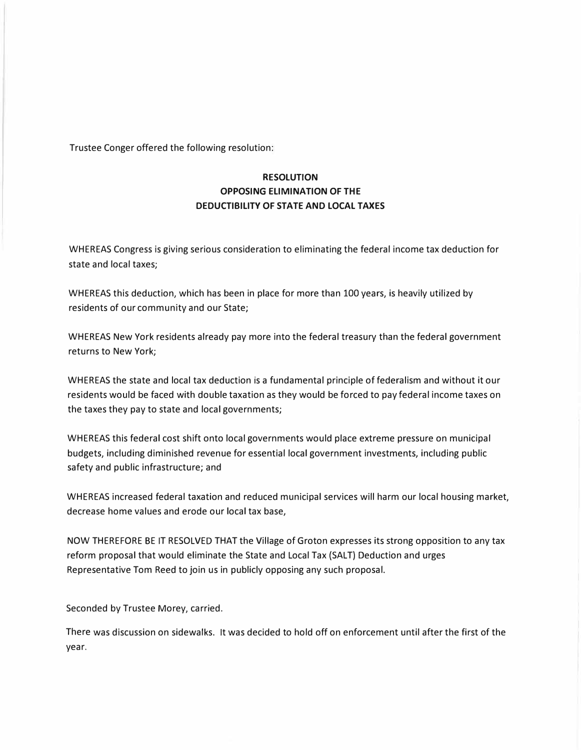Trustee Conger offered the following resolution:

## **RESOLUTION OPPOSING ELIMINATION OF THE DEDUCTIBILITY OF STATE AND LOCAL TAXES**

WHEREAS Congress is giving serious consideration to eliminating the federal income tax deduction for state and local taxes;

WHEREAS this deduction, which has been in place for more than 100 years, is heavily utilized by residents of our community and our State;

WHEREAS New York residents already pay more into the federal treasury than the federal government returns to New York;

WHEREAS the state and local tax deduction is a fundamental principle of federalism and without it our residents would be faced with double taxation as they would be forced to pay federal income taxes on the taxes they pay to state and local governments;

WHEREAS this federal cost shift onto local governments would place extreme pressure on municipal budgets, including diminished revenue for essential local government investments, including public safety and public infrastructure; and

WHEREAS increased federal taxation and reduced municipal services will harm our local housing market, decrease home values and erode our local tax base,

NOW THEREFORE BE IT RESOLVED THAT the Village of Groton expresses its strong opposition to any tax reform proposal that would eliminate the State and Local Tax (SALT) Deduction and urges Representative Tom Reed to join us in publicly opposing any such proposal.

Seconded by Trustee Morey, carried.

There was discussion on sidewalks. It was decided to hold off on enforcement until after the first of the year.